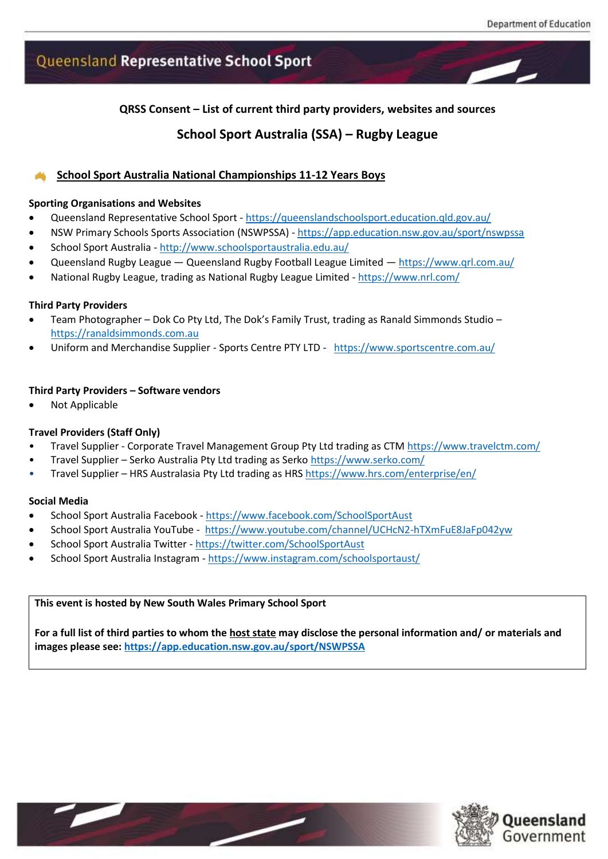# Queensland Representative School Sport

**QRSS Consent – List of current third party providers, websites and sources**

# **School Sport Australia (SSA) – Rugby League**

## **School Sport Australia National Championships 11-12 Years Boys**

#### **Sporting Organisations and Websites**

- Queensland Representative School Sport <https://queenslandschoolsport.education.qld.gov.au/>
- NSW Primary Schools Sports Association (NSWPSSA) <https://app.education.nsw.gov.au/sport/nswpssa>
- School Sport Australia <http://www.schoolsportaustralia.edu.au/>
- Queensland Rugby League Queensland Rugby Football League Limited <https://www.qrl.com.au/>
- National Rugby League, trading as National Rugby League Limited <https://www.nrl.com/>

#### **Third Party Providers**

- Team Photographer Dok Co Pty Ltd, The Dok's Family Trust, trading as Ranald Simmonds Studio [https://ranaldsimmonds.com.au](https://ranaldsimmonds.com.au/)
- Uniform and Merchandise Supplier Sports Centre PTY LTD <https://www.sportscentre.com.au/>

#### **Third Party Providers – Software vendors**

• Not Applicable

#### **Travel Providers (Staff Only)**

- Travel Supplier Corporate Travel Management Group Pty Ltd trading as CT[M https://www.travelctm.com/](https://www.travelctm.com/)
- Travel Supplier Serko Australia Pty Ltd trading as Serko<https://www.serko.com/>
- Travel Supplier HRS Australasia Pty Ltd trading as HRS<https://www.hrs.com/enterprise/en/>

#### **Social Media**

- School Sport Australia Facebook <https://www.facebook.com/SchoolSportAust>
- School Sport Australia YouTube -<https://www.youtube.com/channel/UCHcN2-hTXmFuE8JaFp042yw>
- School Sport Australia Twitter <https://twitter.com/SchoolSportAust>
- School Sport Australia Instagram <https://www.instagram.com/schoolsportaust/>

#### **This event is hosted by New South Wales Primary School Sport**

**For a full list of third parties to whom the host state may disclose the personal information and/ or materials and images please see: <https://app.education.nsw.gov.au/sport/NSWPSSA>**